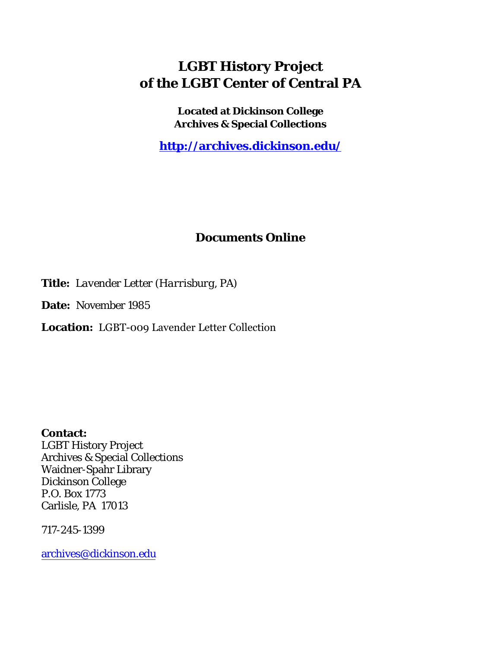### **LGBT History Project of the LGBT Center of Central PA**

**Located at Dickinson College Archives & Special Collections**

**<http://archives.dickinson.edu/>**

#### **Documents Online**

**Title:** *Lavender Letter (Harrisburg, PA)*

**Date:** November 1985

**Location:** LGBT-009 Lavender Letter Collection

**Contact:**  LGBT History Project Archives & Special Collections Waidner-Spahr Library Dickinson College P.O. Box 1773 Carlisle, PA 17013

717-245-1399

[archives@dickinson.edu](mailto:archives@dickinson.edu)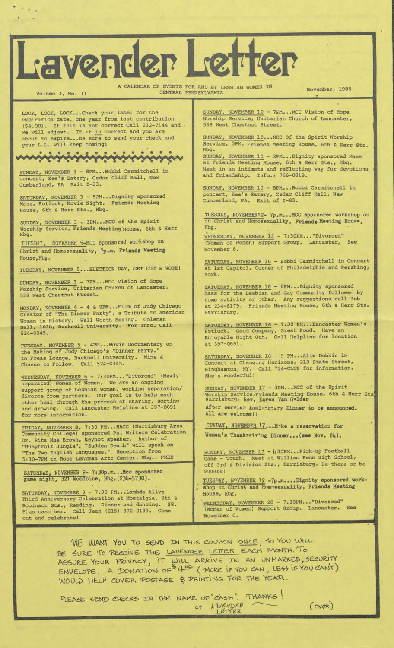# Lavender Letter

A CALENDAR OF EVENTS FOR AND BY LESBIAN WOMEN IN November, 1985 CENTRAL PENNSYLVANIA

I

LOOK, LOOK, LOOK...Check your label for the expiration date, one year from last contribution (\$4.00). If this is not correct Call 232-7144 and we will adjust. If it is correct and you are about to expire...be sure to send your check and your L.L. will keep coming)

Volume 3, No. 11

 $\mathcal{F}_{\mathcal{A}}$  ,

### minininininininin

SUNDAY, NOVEMBER 3 - 8PM...Bobbi Carmitchell in concert, Zee's Eatery, Cedar Cliff Mall, New Cumberland, PA Exit 1-83.

SATURDAY, NOVEMBER 3 - 5PM...Dignity sponsored Mass, Potluck, Movie Night. Friends Meeting House, 6th & Herr Sts., Hbg.

SUNDAY, NOVEMBER 3 - 3PM... MCC of the Spirit Worship Service, Friends Meeting House, 6th & Herr Hbg.

TUESDAY, NOVEMBER 5-MCC sponsored workshop on Christ and Homosexuality, 7p.m. Friends Meeting House,Hbg.

TUESDAY, NOVEMBER 5...ELECTION DAY, GET OUT & VOTE)

SUNDAY, NOVEMBER 3 - 7PM. . .MCC Vision of Hope Worship Service, Unitarian Church of Lancaster, 538 West Chestnut Street.

MONDAY, NOVEMBER 4 - 4 S 9PM...Film of Judy Chicago creator of "The Dinner Party", a Tribute to American Women in History. Well Worth Seeing. Coleman Hall, 103B, Bucknell University. For Info. Call 524-0345.

TUESDAY, NOVEMBER 5 - 4PM...Movie Documentary on the Making of Judy Chicago's "Dinner Party." In Freas Lounge, Bucknell University. Wine & Cheese.to Follow. Call 524-0345.

WEDNESDAY, NOVEMBER 6 - 7:30PM..."Divorced" (Newly separated) Women of Women. We are an ongoing support group of Lesbian women, working separation/ divorce from partners. Our goal is to help each<br>other heal through the process of sharing, sorting other heal through the process of sharing, sorting and growing. Call Lancaster Helpline at 397-0691 for more information.

FRIDAY, NOVEMBER 8, 7:30 PM...HACC (Harrisburg Area Community College) sponsored Pa. Writers Celebration Dr. Rita Mae Brown, keynot speaker. Author of "Rubyfruit Jungle", "Sudden Death" will speak on "The Two English Languages." Reception from 5:30-7PM in Rose Lehrman Arte Center, Hbg., FREE

SATURDAY, NOVEMBER 9-7:30p.m...Mcc sponsored<br>game night, 321 Woodbine, Hbg. (234-5730).

SATURDAY, NOVEMBER 9 - 7:30 PM...Lambda Alive Third Anniversary Celebration at Mostalgia, 9th & Robinson Sts., Reading. Dinner and dancing. \$8. Plus cash bar. Call Jean (215) 372-0139. Come out and celebrate!

SUNDAY, NOVEMBER 10 - 7PM...MCC Vision of Hope Worship Service, Unitarian Church of Lancaster, 538 West Chestnut Street.

SUNDAY, NOVEMBER 10...MCC Of the Spirit Worship Service, 3PM. Friends Meeting House, 6th & Herr Sts. Hbg.

SUNDAY, NOVEMBER 10 - 2PM...Dignity sponsored Mass at Friends Meeting House, 6th & Herr Sts., Hbg. Meet in an intimate and reflecting way for devotions and friendship. Info.: 766-0819.

SUNDAY, NOVEMBER 10 - 8PM...Bobbi Carmitchell in concert, Zee's Eatery, Cedar Cliff Mall, New Cumberland, PA. Exit of 1-83.

TUESDAY, NOVEMBERI2- 7p.m...MCC sponsored workshop on on Christ and Homosexuality, Friends Meeting House, Hbg.

WEDNESDAY, NOVEMBER 13 - 7:30PM..."Divorced" (Women of Women) Support Group. Lancaster, See November 6.

SATURDAY, NOVEMBER 16 - Bobbi Carmitchell in Concert at 1st Capitol, Corner of Philadelphia and Pershing, York.

SATURDAY, NOVEMBER 16 - 6PM...Dignity sponsored Mass for the Lesbian and Gay Community followed by some activity or other. Any suggestions call Job at 234-8179. Friends Meeting House, 6th & Herr Sts Harrisburg.

SATURDAY, NOVEMBER 16 - 7:30 PM...Lancaster Women's Potluck. Good Company, Great Food. Have an Enjoyable Night Out. Call Helpline for location at 397-0691.

SATURDAY, NOVEMBER 16 - 9 PM...Alix Dobkin in Concert at Changing Horizons, 213 State Street, Binghamton, NY. Call 724-CLUB for information. She's wonderful!

After servicr Anniversary Dinner to be announced Spirit 6th & Herr Sts SUNDAY, NOVEMBER 17 - 3PM...MCC of the Worship Service, Friends Meeting House,<br>Harrisburg. Rev. Karen Van Gelder

All are welcome! I

SUNDAY, NOVEMBER 17,..M^ks a reservation for Women's Thank«viv'ng Dinner... (see Nov. 24).

SUNDAY, NOVEMBER 17 *- I;* 30PM. . .Pick-up Football Game - Touch. Meet at William Penn High School, off 3rd s Division Sts., Harrisburg. Be there or be square!

TUESDAY, NOVEMBER <sup>19</sup> -7p.m....Dignity sponsored workshop on Christ and Hom-sexuality, Friends Meeting House, Hbg.

'WEDNESDAY, NOVEMBER 20 - 7:30PM..."Divorced" (Women of Women) Support Group. Lancaster. See November 6.

WE WANT YOU TO SEND IN THIS COUPON ONCE, SO YOU WILL BE SURE TO RECEIVE THE LAVENDER LETTER EACH MONTH. To BE SURE TO RECEIVE THE LAVENDER LETTER EACH MONTH. TO<br>ASSURE YOUR PRIVACY, IT WILL ARRIVE IN AN UNMARKED, SECURITY  $RSSURE$  TOUR FRIVACTION OF  $44^{\circ}$  (MORE IF YOU CAN, LESS IF YOU CANT) WOULD HELP COVER POSTAGE & PRINTING FOR THE YEAR.

x

SEND CHECKS IN THE NAME OF "CASH". THANKS

*(<sup>m</sup><&)*